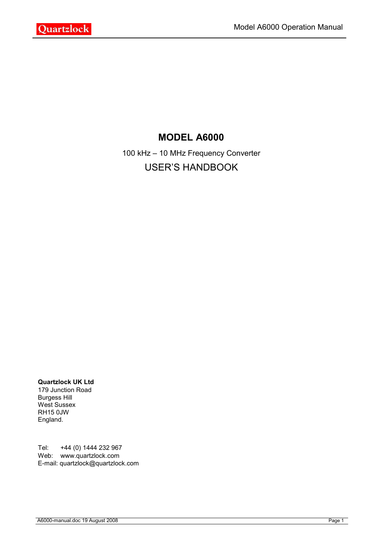

# **MODEL A6000**

100 kHz – 10 MHz Frequency Converter USER'S HANDBOOK

**Quartzlock UK Ltd**

179 Junction Road Burgess Hill West Sussex RH15 0JW England.

Tel: +44 (0) 1444 232 967 Web: www.quartzlock.com E-mail: quartzlock@quartzlock.com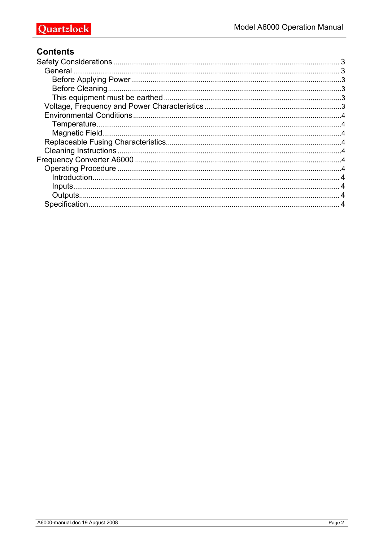## **Contents**

| 3 |
|---|
|   |
|   |
|   |
|   |
|   |
|   |
|   |
|   |
|   |
|   |
|   |
|   |
|   |
|   |
|   |
|   |
|   |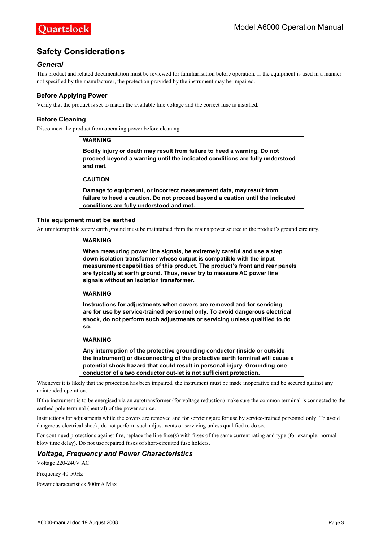## **Safety Considerations**

#### *General*

This product and related documentation must be reviewed for familiarisation before operation. If the equipment is used in a manner not specified by the manufacturer, the protection provided by the instrument may be impaired.

#### **Before Applying Power**

Verify that the product is set to match the available line voltage and the correct fuse is installed.

#### **Before Cleaning**

Disconnect the product from operating power before cleaning.

#### **WARNING**

**Bodily injury or death may result from failure to heed a warning. Do not proceed beyond a warning until the indicated conditions are fully understood and met.**

#### **CAUTION**

**Damage to equipment, or incorrect measurement data, may result from failure to heed a caution. Do not proceed beyond a caution until the indicated conditions are fully understood and met.**

#### **This equipment must be earthed**

An uninterruptible safety earth ground must be maintained from the mains power source to the product's ground circuitry.

#### **WARNING**

**When measuring power line signals, be extremely careful and use a step down isolation transformer whose output is compatible with the input measurement capabilities of this product. The product's front and rear panels are typically at earth ground. Thus, never try to measure AC power line signals without an isolation transformer.**

#### **WARNING**

**Instructions for adjustments when covers are removed and for servicing are for use by service-trained personnel only. To avoid dangerous electrical shock, do not perform such adjustments or servicing unless qualified to do so.**

#### **WARNING**

**Any interruption of the protective grounding conductor (inside or outside the instrument) or disconnecting of the protective earth terminal will cause a potential shock hazard that could result in personal injury. Grounding one conductor of a two conductor out-let is not sufficient protection.**

Whenever it is likely that the protection has been impaired, the instrument must be made inoperative and be secured against any unintended operation.

If the instrument is to be energised via an autotransformer (for voltage reduction) make sure the common terminal is connected to the earthed pole terminal (neutral) of the power source.

Instructions for adjustments while the covers are removed and for servicing are for use by service-trained personnel only. To avoid dangerous electrical shock, do not perform such adjustments or servicing unless qualified to do so.

For continued protections against fire, replace the line fuse(s) with fuses of the same current rating and type (for example, normal blow time delay). Do not use repaired fuses of short-circuited fuse holders.

#### *Voltage, Frequency and Power Characteristics*

Voltage 220-240V AC

Frequency 40-50Hz

Power characteristics 500mA Max